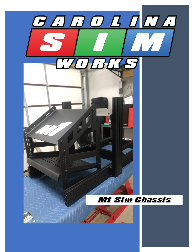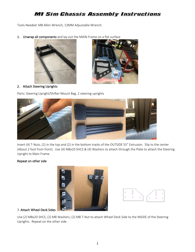Tools Needed: M8 Allen Wrench, 13MM Adjustable Wrench.

1. Unwrap all components and lay out the MAIN Frame on a flat surface





## 2. Attach Steering Uprights

Parts: Steering Upright/Shifter Mount Bag, 2 steering uprights



Insert (4) T-Nuts, (2) in the top and (2) in the bottom tracks of the OUTSIDE 55" Extrusion. Slip to the center (About 2 foot from front). Use (4) M8x20 SHCS & (4) Washers to attach through the Plate to attach the Steering Upright to Main Frame.

## Repeat on other side





## 3. Attach Wheel Deck Sides

Use (2) M8x20 SHCS, (2) M8 Washers; (2) M8 T-Nut to attach Wheel Deck Side to the INSIDE of the Steering Uprights. Repeat on the other side.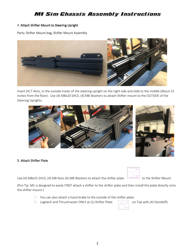## 4. Attach Shifter Mount to Steering Upright

Parts: Shifter Mount bag, Shifter Mount Assembly



Insert (4) T-Nuts, in the outside tracks of the steering upright on the right side and slide to the middle (About 15 inches from the floor). Use (4) M8x20 SHCS, (4) M8 Washers to attach Shifter mount to the OUTSIDE of the Steering Uprights.



## 5. Attach Shifter Plate

Use (4) M8x25 SHCS, (4) M8 Nuts (4) M8 Washers to attach the shifter plate to the Shifter Mount

(Pro-Tip: M1 is designed to easily FIRST attach a shifter to the shifter plate and then install the plate directly onto the shifter mount.)

- $\Box$  You can also attach a hand brake to the outside of the shifter plate.
- $\Box$  Logitech and Thrustmaster ONLY at (1) Shifter Plate  $\Box$  on Top with (4) Standoffs





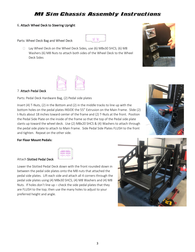坚度

## 6. Attach Wheel Deck to Steering Upright

Parts: Wheel Deck Bag and Wheel Deck

□ Lay Wheel Deck on the Wheel Deck Sides, use (6) M8x30 SHCS; (6) M8 Washers (6) M8 Nuts to attach both sides of the Wheel Deck to the Wheel Deck Sides





## 7. Attach Pedal Deck

Parts: Pedal Deck Hardware Bag, (2) Pedal side plates

Insert (4) T-Nuts, (2) in the Bottom and (2) in the middle tracks to line up with the bottom holes on the pedal plates INSIDE the 55" Extrusion on the Main Frame. Slide (2) t-Nuts about 18 inches toward center of the frame and (2) T-Nuts at the front. Position the Pedal Side Plate on the inside of the frame so that the top of the Pedal side plate slants up toward the wheel deck. Use (2) M8x20 SHCS & (4) Washers to attach through the pedal side plate to attach to Main Frame. Side Pedal Side Plates FLUSH to the front and tighten. Repeat on the other side.



## **For Floor Mount Pedals:**

#### Attach Slotted Pedal Deck

Lower the Slotted Pedal Deck down with the front rounded down in between the pedal side plates onto the M8 nuts that attached the pedal side plates. Lift each side and attach all 4 corners through the pedal side plates using (4) M8x30 SHCS, (4) M8 Washers and (4) M8 Nuts. If holes don't line up – check the side pedal plates that they are FLUSH to the top; then use the many holes to adjust to your preferred height and angle.